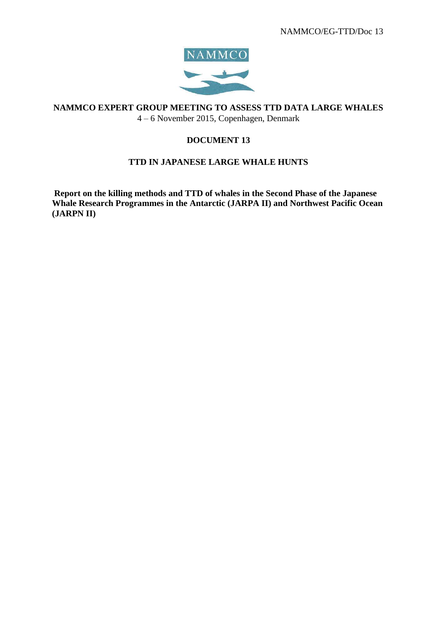

**NAMMCO EXPERT GROUP MEETING TO ASSESS TTD DATA LARGE WHALES** 4 – 6 November 2015, Copenhagen, Denmark

# **DOCUMENT 13**

## **TTD IN JAPANESE LARGE WHALE HUNTS**

**Report on the killing methods and TTD of whales in the Second Phase of the Japanese Whale Research Programmes in the Antarctic (JARPA II) and Northwest Pacific Ocean (JARPN II)**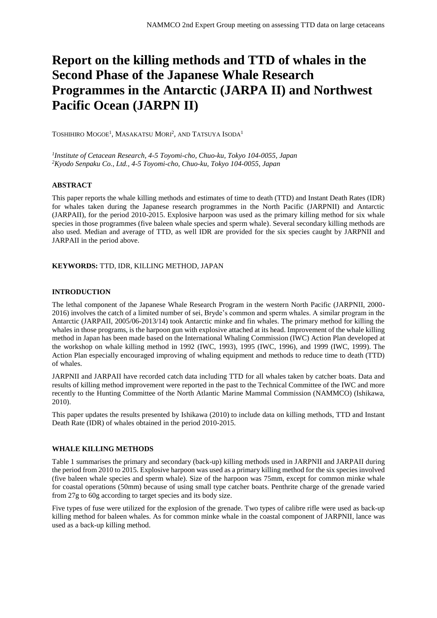# **Report on the killing methods and TTD of whales in the Second Phase of the Japanese Whale Research Programmes in the Antarctic (JARPA II) and Northwest Pacific Ocean (JARPN II)**

TOSHIHIRO MOGOE<sup>1</sup>, MASAKATSU MORI<sup>2</sup>, AND TATSUYA ISODA<sup>1</sup>

*1 Institute of Cetacean Research, 4-5 Toyomi-cho, Chuo-ku, Tokyo 104-0055, Japan <sup>2</sup>Kyodo Senpaku Co., Ltd., 4-5 Toyomi-cho, Chuo-ku, Tokyo 104-0055, Japan*

#### **ABSTRACT**

This paper reports the whale killing methods and estimates of time to death (TTD) and Instant Death Rates (IDR) for whales taken during the Japanese research programmes in the North Pacific (JARPNII) and Antarctic (JARPAII), for the period 2010-2015. Explosive harpoon was used as the primary killing method for six whale species in those programmes (five baleen whale species and sperm whale). Several secondary killing methods are also used. Median and average of TTD, as well IDR are provided for the six species caught by JARPNII and JARPAII in the period above.

#### **KEYWORDS:** TTD, IDR, KILLING METHOD, JAPAN

#### **INTRODUCTION**

The lethal component of the Japanese Whale Research Program in the western North Pacific (JARPNII, 2000- 2016) involves the catch of a limited number of sei, Bryde's common and sperm whales. A similar program in the Antarctic (JARPAII, 2005/06-2013/14) took Antarctic minke and fin whales. The primary method for killing the whales in those programs, is the harpoon gun with explosive attached at its head. Improvement of the whale killing method in Japan has been made based on the International Whaling Commission (IWC) Action Plan developed at the workshop on whale killing method in 1992 (IWC, 1993), 1995 (IWC, 1996), and 1999 (IWC, 1999). The Action Plan especially encouraged improving of whaling equipment and methods to reduce time to death (TTD) of whales.

JARPNII and JARPAII have recorded catch data including TTD for all whales taken by catcher boats. Data and results of killing method improvement were reported in the past to the Technical Committee of the IWC and more recently to the Hunting Committee of the North Atlantic Marine Mammal Commission (NAMMCO) (Ishikawa, 2010).

This paper updates the results presented by Ishikawa (2010) to include data on killing methods, TTD and Instant Death Rate (IDR) of whales obtained in the period 2010-2015.

#### **WHALE KILLING METHODS**

Table 1 summarises the primary and secondary (back-up) killing methods used in JARPNII and JARPAII during the period from 2010 to 2015. Explosive harpoon was used as a primary killing method for the six species involved (five baleen whale species and sperm whale). Size of the harpoon was 75mm, except for common minke whale for coastal operations (50mm) because of using small type catcher boats. Penthrite charge of the grenade varied from 27g to 60g according to target species and its body size.

Five types of fuse were utilized for the explosion of the grenade. Two types of calibre rifle were used as back-up killing method for baleen whales. As for common minke whale in the coastal component of JARPNII, lance was used as a back-up killing method.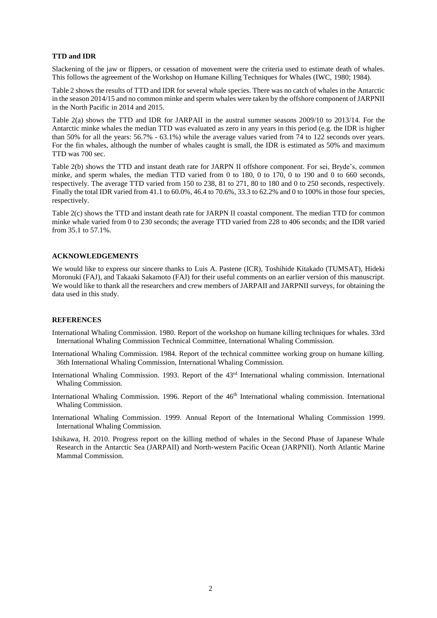### **TTD and IDR**

Slackening of the jaw or flippers, or cessation of movement were the criteria used to estimate death of whales. This follows the agreement of the Workshop on Humane Killing Techniques for Whales (IWC, 1980; 1984).

Table 2 shows the results of TTD and IDR for several whale species. There was no catch of whales in the Antarctic in the season 2014/15 and no common minke and sperm whales were taken by the offshore component of JARPNII in the North Pacific in 2014 and 2015.

Table 2(a) shows the TTD and IDR for JARPAII in the austral summer seasons 2009/10 to 2013/14. For the Antarctic minke whales the median TTD was evaluated as zero in any years in this period (e.g. the IDR is higher than 50% for all the years: 56.7% - 63.1%) while the average values varied from 74 to 122 seconds over years. For the fin whales, although the number of whales caught is small, the IDR is estimated as 50% and maximum TTD was 700 sec.

Table 2(b) shows the TTD and instant death rate for JARPN II offshore component. For sei, Bryde's, common minke, and sperm whales, the median TTD varied from 0 to 180, 0 to 170, 0 to 190 and 0 to 660 seconds, respectively. The average TTD varied from 150 to 238, 81 to 271, 80 to 180 and 0 to 250 seconds, respectively. Finally the total IDR varied from 41.1 to 60.0%, 46.4 to 70.6%, 33.3 to 62.2% and 0 to 100% in those four species, respectively.

Table 2(c) shows the TTD and instant death rate for JARPN II coastal component. The median TTD for common minke whale varied from 0 to 230 seconds; the average TTD varied from 228 to 406 seconds; and the IDR varied from 35.1 to 57.1%.

## **ACKNOWLEDGEMENTS**

We would like to express our sincere thanks to Luis A. Pastene (ICR), Toshihide Kitakado (TUMSAT), Hideki Moronuki (FAJ), and Takaaki Sakamoto (FAJ) for their useful comments on an earlier version of this manuscript. We would like to thank all the researchers and crew members of JARPAII and JARPNII surveys, for obtaining the data used in this study.

## **REFERENCES**

- International Whaling Commission. 1980. Report of the workshop on humane killing techniques for whales. 33rd International Whaling Commission Technical Committee, International Whaling Commission.
- International Whaling Commission. 1984. Report of the technical committee working group on humane killing. 36th International Whaling Commission, International Whaling Commission.
- International Whaling Commission. 1993. Report of the 43rd International whaling commission. International Whaling Commission.
- International Whaling Commission. 1996. Report of the 46<sup>th</sup> International whaling commission. International Whaling Commission.
- International Whaling Commission. 1999. Annual Report of the International Whaling Commission 1999. International Whaling Commission.
- Ishikawa, H. 2010. Progress report on the killing method of whales in the Second Phase of Japanese Whale Research in the Antarctic Sea (JARPAII) and North-western Pacific Ocean (JARPNII). North Atlantic Marine Mammal Commission.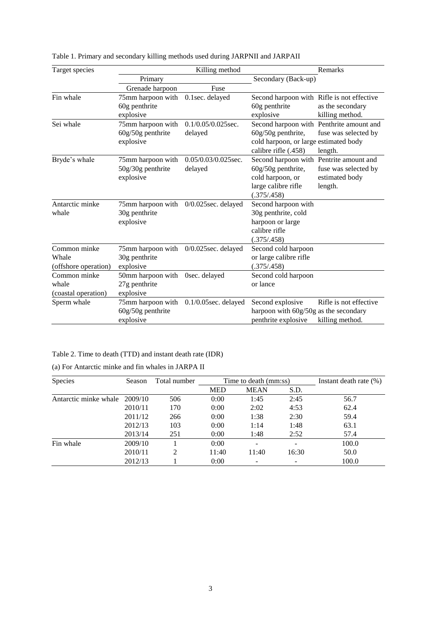| Target species       | Killing method                 |                         |                                            | Remarks                                  |
|----------------------|--------------------------------|-------------------------|--------------------------------------------|------------------------------------------|
|                      | Primary<br>Secondary (Back-up) |                         |                                            |                                          |
|                      | Grenade harpoon                | Fuse                    |                                            |                                          |
| Fin whale            | 75mm harpoon with              | 0.1sec. delayed         | Second harpoon with Rifle is not effective |                                          |
|                      | 60g penthrite                  |                         | 60g penthrite                              | as the secondary                         |
|                      | explosive                      |                         | explosive                                  | killing method.                          |
| Sei whale            | 75mm harpoon with              | $0.1/0.05/0.025$ sec.   |                                            | Second harpoon with Penthrite amount and |
|                      | $60g/50g$ penthrite            | delayed                 | 60g/50g penthrite,                         | fuse was selected by                     |
|                      | explosive                      |                         | cold harpoon, or large estimated body      |                                          |
|                      |                                |                         | calibre rifle (.458)                       | length.                                  |
| Bryde's whale        | 75mm harpoon with              | 0.05/0.03/0.025sec.     | Second harpoon with Pentrite amount and    |                                          |
|                      | 50g/30g penthrite              | delayed                 | $60g/50g$ penthrite,                       | fuse was selected by                     |
|                      | explosive                      |                         | cold harpoon, or                           | estimated body                           |
|                      |                                |                         | large calibre rifle                        | length.                                  |
|                      |                                |                         | (.375/.458)                                |                                          |
| Antarctic minke      | 75mm harpoon with              | $0/0.025$ sec. delayed  | Second harpoon with                        |                                          |
| whale                | 30g penthrite                  |                         | 30g penthrite, cold                        |                                          |
|                      | explosive                      |                         | harpoon or large                           |                                          |
|                      |                                |                         | calibre rifle                              |                                          |
|                      |                                |                         | (.375/.458)                                |                                          |
| Common minke         | 75mm harpoon with              | $0/0.025$ sec. delayed  | Second cold harpoon                        |                                          |
| Whale                | 30g penthrite                  |                         | or large calibre rifle                     |                                          |
| (offshore operation) | explosive                      |                         | (.375/.458)                                |                                          |
| Common minke         | 50mm harpoon with              | Osec. delayed           | Second cold harpoon                        |                                          |
| whale                | 27g penthrite                  |                         | or lance                                   |                                          |
| (coastal operation)  | explosive                      |                         |                                            |                                          |
| Sperm whale          | 75mm harpoon with              | $0.1/0.05$ sec. delayed | Second explosive                           | Rifle is not effective                   |
|                      | $60g/50g$ penthrite            |                         | harpoon with 60g/50g as the secondary      |                                          |
|                      | explosive                      |                         | penthrite explosive                        | killing method.                          |

Table 1. Primary and secondary killing methods used during JARPNII and JARPAII

# Table 2. Time to death (TTD) and instant death rate (IDR)

| (a) For Antarctic minke and fin whales in JARPA II |  |  |  |  |  |  |
|----------------------------------------------------|--|--|--|--|--|--|
|----------------------------------------------------|--|--|--|--|--|--|

| Species               | Season  | Total number   | Time to death (mm:ss) |             |                | Instant death rate $(\%)$ |
|-----------------------|---------|----------------|-----------------------|-------------|----------------|---------------------------|
|                       |         |                | <b>MED</b>            | <b>MEAN</b> | S.D.           |                           |
| Antarctic minke whale | 2009/10 | 506            | 0:00                  | 1:45        | 2:45           | 56.7                      |
|                       | 2010/11 | 170            | 0:00                  | 2:02        | 4:53           | 62.4                      |
|                       | 2011/12 | 266            | 0:00                  | 1:38        | 2:30           | 59.4                      |
|                       | 2012/13 | 103            | 0:00                  | 1:14        | 1:48           | 63.1                      |
|                       | 2013/14 | 251            | 0:00                  | 1:48        | 2:52           | 57.4                      |
| Fin whale             | 2009/10 |                | 0:00                  |             | $\overline{a}$ | 100.0                     |
|                       | 2010/11 | $\mathfrak{D}$ | 11:40                 | 11:40       | 16:30          | 50.0                      |
|                       | 2012/13 |                | 0:00                  |             |                | 100.0                     |